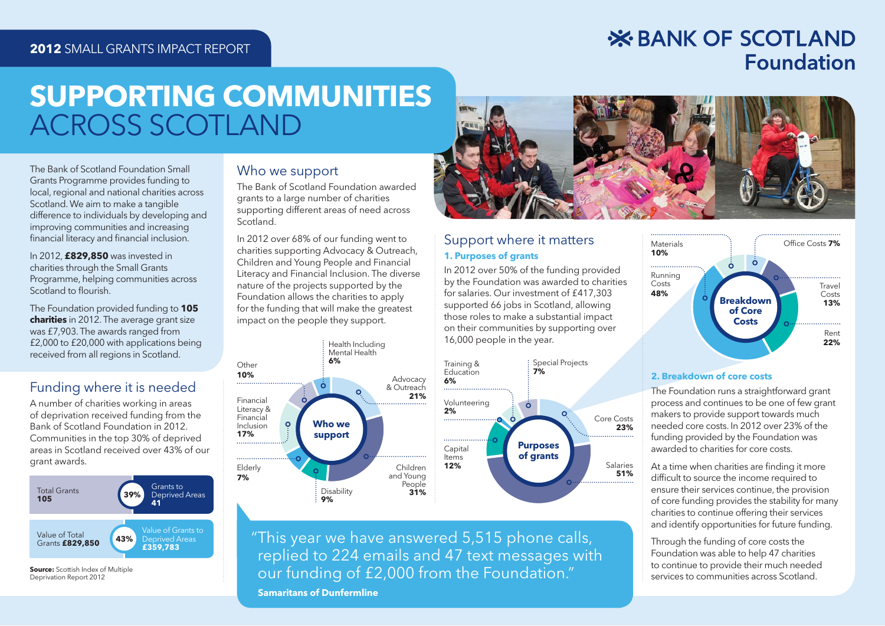## **2012** SMALL GRANTS IMPACT REPORT

## **X BANK OF SCOTLAND Foundation**

# **SUPPORTING COMMUNITIES**ACROSS SCOTLAND

The Bank of Scotland Foundation Small Grants Programme provides funding to local, regional and national charities across Scotland. We aim to make a tangible difference to individuals by developing and improving communities and increasing financial literacy and financial inclusion.

In 2012, **£829,850** was invested in charities through the Small Grants Programme, helping communities across Scotland to flourish.

The Foundation provided funding to **105 charities** in 2012. The average grant size was £7,903. The awards ranged from £2,000 to £20,000 with applications being received from all regions in Scotland.

## Funding where it is needed

A number of charities working in areas of deprivation received funding from the Bank of Scotland Foundation in 2012. Communities in the top 30% of deprived areas in Scotland received over 43% of our grant awards.



Deprivation Report 2012

## Who we support

The Bank of Scotland Foundation awarded grants to a large number of charities supporting different areas of need across Scotland.

In 2012 over 68% of our funding went to charities supporting Advocacy & Outreach, Children and Young People and Financial Literacy and Financial Inclusion. The diverse nature of the projects supported by the Foundation allows the charities to apply for the funding that will make the greatest impact on the people they support.





### Support where it matters **1. Purposes of grants**

In 2012 over 50% of the funding provided by the Foundation was awarded to charities for salaries. Our investment of £417,303 supported 66 jobs in Scotland, allowing those roles to make a substantial impact on their communities by supporting over 16,000 people in the year.



 " This year we have answered 5,515 phone calls, replied to 224 emails and 47 text messages with our funding of £2,000 from the Foundation."

 **Samaritans of Dunfermline**



#### **2. Breakdown of core costsBreakdow**

The Foundation runs a straightforward grant T process and continues to be one of few grant makers to provide support towards much needed core costs. In 2012 over 23% of the funding provided by the Foundation was awarded to charities for core costs.

At a time when charities are finding it more difficult to source the income required to ensure their services continue, the provision of core funding provides the stability for many charities to continue offering their services and identify opportunities for future funding.

Through the funding of core costs the Foundation was able to help 47 charities to continue to provide their much needed services to communities across Scotland.